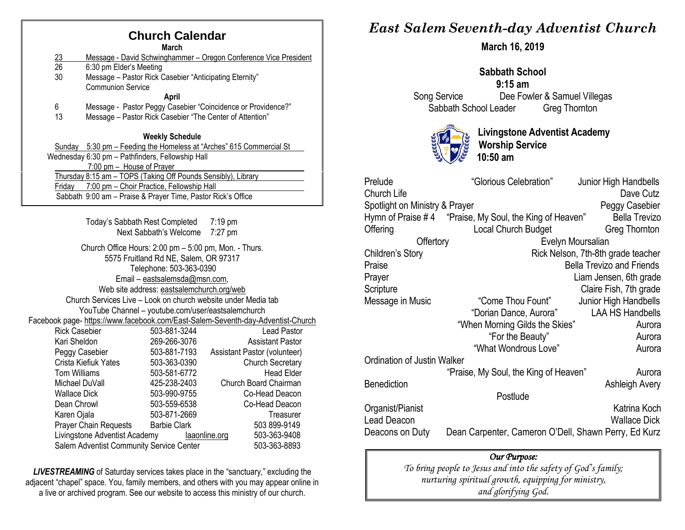# **Church Calendar**

**March**

- 23 Message David Schwinghammer Oregon Conference Vice President<br>26 6:30 pm Elder's Meeting
- 6:30 pm Elder's Meeting
- 30 Message Pastor Rick Casebier "Anticipating Eternity" Communion Service
	- **April**
- 6 Message Pastor Peggy Casebier "Coincidence or Providence?"
- 13 Message Pastor Rick Casebier "The Center of Attention"

#### **Weekly Schedule**

| Sunday 5:30 pm – Feeding the Homeless at "Arches" 615 Commercial St |  |
|---------------------------------------------------------------------|--|
| Wednesday 6:30 pm - Pathfinders, Fellowship Hall                    |  |
| 7:00 pm - House of Prayer                                           |  |
| Thursday 8:15 am - TOPS (Taking Off Pounds Sensibly), Library       |  |
| 7:00 pm – Choir Practice, Fellowship Hall<br>Fridav                 |  |
| Sabbath 9:00 am - Praise & Prayer Time, Pastor Rick's Office        |  |

| Today's Sabbath Rest Completed<br>Next Sabbath's Welcome                                       | 7:19 pm<br>$7:27$ pm                                                                                  |
|------------------------------------------------------------------------------------------------|-------------------------------------------------------------------------------------------------------|
| Church Office Hours: 2:00 pm – 5:00 pm, Mon. - Thurs.<br>5575 Fruitland Rd NE, Salem, OR 97317 |                                                                                                       |
|                                                                                                |                                                                                                       |
|                                                                                                |                                                                                                       |
|                                                                                                |                                                                                                       |
|                                                                                                | Church Services Live - Look on church website under Media tab                                         |
| YouTube Channel - youtube.com/user/eastsalemchurch                                             |                                                                                                       |
|                                                                                                | Facebook page- https://www.facebook.com/East-Salem-Seventh-day-Adventist-Church                       |
| 503-881-3244                                                                                   | Lead Pastor                                                                                           |
| 269-266-3076                                                                                   | <b>Assistant Pastor</b>                                                                               |
| 503-881-7193                                                                                   | Assistant Pastor (volunteer)                                                                          |
| 503-363-0390                                                                                   | <b>Church Secretary</b>                                                                               |
| 503-581-6772                                                                                   | <b>Head Elder</b>                                                                                     |
| 425-238-2403                                                                                   | Church Board Chairman                                                                                 |
| 503-990-9755                                                                                   | Co-Head Deacon                                                                                        |
| 503-559-6538                                                                                   | Co-Head Deacon                                                                                        |
| 503-871-2669                                                                                   | Treasurer                                                                                             |
| <b>Barbie Clark</b><br>Prayer Chain Requests                                                   | 503 899-9149                                                                                          |
| Livingstone Adventist Academy                                                                  | 503-363-9408<br>laaonline.org                                                                         |
| Salem Adventist Community Service Center                                                       | 503-363-8893                                                                                          |
|                                                                                                | Telephone: 503-363-0390<br>Email - eastsalemsda@msn.com,<br>Web site address: eastsalemchurch.org/web |

*LIVESTREAMING* of Saturday services takes place in the "sanctuary," excluding the adjacent "chapel" space. You, family members, and others with you may appear online in a live or archived program. See our website to access this ministry of our church.

# *East Salem Seventh-day Adventist Church*

**March 16, 2019**

### **Sabbath School 9:15 am** Song Service Dee Fowler & Samuel Villegas Sabbath School Leader Greg Thornton



**Livingstone Adventist Academy Worship Service 10:50 am**

| Prelude                                                                 | "Glorious Celebration"                                  | Junior High Handbells              |  |
|-------------------------------------------------------------------------|---------------------------------------------------------|------------------------------------|--|
| Church Life                                                             |                                                         | Dave Cutz                          |  |
| Spotlight on Ministry & Prayer                                          |                                                         | Peggy Casebier                     |  |
|                                                                         | Hymn of Praise #4 "Praise, My Soul, the King of Heaven" | <b>Bella Trevizo</b>               |  |
| Offering                                                                | Local Church Budget                                     | Greg Thornton                      |  |
| Offertory                                                               |                                                         | Evelyn Moursalian                  |  |
| Children's Story                                                        |                                                         | Rick Nelson, 7th-8th grade teacher |  |
| Praise                                                                  |                                                         | <b>Bella Trevizo and Friends</b>   |  |
| Prayer                                                                  |                                                         | Liam Jensen, 6th grade             |  |
| Scripture                                                               |                                                         | Claire Fish, 7th grade             |  |
| Message in Music                                                        | "Come Thou Fount"                                       | Junior High Handbells              |  |
|                                                                         | "Dorian Dance, Aurora"                                  | <b>LAA HS Handbells</b>            |  |
|                                                                         | "When Morning Gilds the Skies"                          | Aurora                             |  |
|                                                                         | "For the Beauty"                                        | Aurora                             |  |
|                                                                         | "What Wondrous Love"                                    | Aurora                             |  |
| Ordination of Justin Walker                                             |                                                         |                                    |  |
|                                                                         | "Praise, My Soul, the King of Heaven"                   | Aurora                             |  |
| <b>Benediction</b>                                                      |                                                         | Ashleigh Avery                     |  |
|                                                                         | Postlude                                                |                                    |  |
| Organist/Pianist                                                        |                                                         | Katrina Koch                       |  |
| Lead Deacon                                                             |                                                         | <b>Wallace Dick</b>                |  |
| Dean Carpenter, Cameron O'Dell, Shawn Perry, Ed Kurz<br>Deacons on Duty |                                                         |                                    |  |

#### *Our Purpose:*

*To bring people to Jesus and into the safety of God's family; nurturing spiritual growth, equipping for ministry, and glorifying God.*